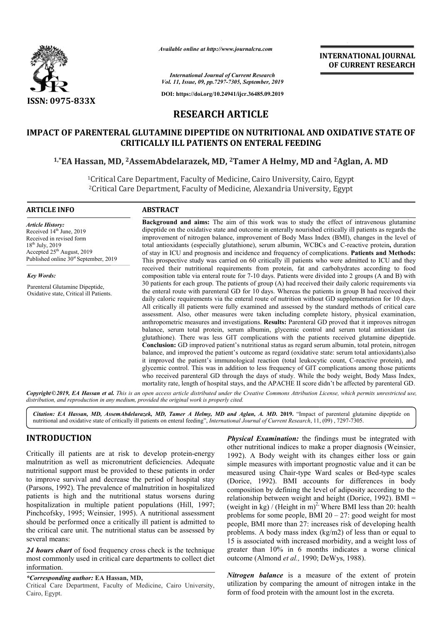

*Available online at http://www.journalcra.com*

**INTERNATIONAL JOURNAL OF CURRENT RESEARCH**

*International Journal of Current Research Vol. 11, Issue, 09, pp.7297-7305, September, 2019*

**DOI: https://doi.org/10.24941/ijcr.36485.09.2019**

# **RESEARCH ARTICLE**

# **IMPACT OF PARENTERAL GLUTAMINE DIPEPTIDE ON NUTRITIONAL AND OXIDATIVE STATE OF CRITICALLY ILL PATIENTS ON ENTERAL FEEDING**

# CRITICALLY ILL PATIENTS ON ENTERAL FEEDING<br><sup>1,\*</sup>EA Hassan, MD, <sup>2</sup>AssemAbdelarazek, MD, <sup>2</sup>Tamer A Helmy, MD and <sup>2</sup>Aglan, A. MD

1Critical Care Department, Faculty of Medicine, Cairo University, Cairo, Egypt 'Critical Care Department, Faculty of Medicine, Cairo University, Cairo, Egyp'<br><sup>2</sup>Critical Care Department, Faculty of Medicine, Alexandria University, Egypt

#### **ARTICLE INFO ABSTRACT**

*Article History:* Received 14<sup>th</sup> June, 2019 Received in revised form 18<sup>th</sup> July, 2019 Accepted 25<sup>th</sup> August, 2019 Published online  $30<sup>st</sup>$  September, 2019

*Key Words:*

Parenteral Glutamine Dipeptide, Oxidative state, Critical ill Patients.

**Background and aims:**  The aim of this work was to study the effect of intravenous glutamine dipeptide on the oxidative state and outcome in enterally nourished critically ill patients as regards the improvement of nitrogen balance, improvement of Body Mass Index (BMI), changes in the level of dipeptide on the oxidative state and outcome in enterally nourished critically ill patients as regards the improvement of nitrogen balance, improvement of Body Mass Index (BMI), changes in the level of total antioxidants ( of stay in ICU and prognosis and incidence and frequency of complications. Patients and Methods: This prospective study was carried on 60 critically ill patients who were admitted to ICU and they received their nutritional requirements from protein, fat and carbohydrates according to food This prospective study was carried on 60 critically ill patients who were admitted to ICU and they received their nutritional requirements from protein, fat and carbohydrates according to food composition table via enteral 30 patients for each group. The patients of group (A) had received their daily caloric requirements via the enteral route with parenteral GD for 10 days. Whereas the patients in group B had received their daily caloric requirements via the enteral route of nutrition without GD supplementation for 10 days. All critically ill patients were fully examined and assessed by the standard methods of critical care assessment. Also, other measures were taken including complete history, physical examination, anthropometric measures and investigations. **Results:** Parenteral GD proved that it improves nitrogen balance, serum total protein, serum albumin, glycemic control and serum total antioxidant (as glutathione). There was less GIT complications with the patients received glutamine dipeptide. **Conclusion:**  GD improved patient's nutritional status as regard serum albumin, total protein, nitrogen balance, and improved the patient's outcome as regard (oxidative state: serum total antioxidants),also it improved the patient's immunological reaction (total leukocytic count, C-reactive protein), and glycemic control. This was in addition to less frequency of GIT complications among those patients who received parenteral GD through the days of study. While the body weight, Body Mass Index, mortality rate, length of hospital stays, and the APACHE II score didn't be affected by parenteral GD. 30 patients for each group. The patients of group (A) had received their daily caloric requirements via the enteral GD for 10 days. Whereas the patients in group B had received their daily caloric requirements via the ente anthropometric measures and investigations. **Results:** Parenteral GD proved that it improves nitrogen balance, serum total protein, serum albumin, glycemic control and serum total antioxidant (as glutathione). There was le glycemic control. This was in addition to less frequency of GIT complications among those who received parenteral GD through the days of study. While the body weight, Body Mas mortality rate, length of hospital stays, and **INTERNATIONAL JOURNAL FORMATION (and the months with forecast and the control of**  $\pi$ **-56858.99.2019<br>
TICLE TRANS TO CURRENT RESEARCH CONSERVED TO A CONSERVED TO A CONSERVED TO A CONSERVED TO A CALCULATE CONSERVED TO A CA** 

Copyright©2019, EA Hassan et al. This is an open access article distributed under the Creative Commons Attribution License, which permits unrestricted use, *distribution, and reproduction in any medium, provided the original work is properly cited.*

Citation: EA Hassan, MD, AssemAbdelarazek, MD, Tamer A Helmy, MD and Aglan, A. MD. 2019. "Impact of parenteral glutamine dipeptide on nutritional and oxidative state of critically ill patients on enteral feeding", *International Journal of Current Research*, 11, (09), 7297-7305.

# **INTRODUCTION**

Critically ill patients are at risk to develop protein-energy malnutrition as well as micronutrient deficiencies. Adequate nutritional support must be provided to these patients in order to improve survival and decrease the period of hospital stay (Parsons, 1992). The prevalence of malnutrition in hospitalized patients is high and the nutritional status worsens during hospitalization in multiple patient populations (Hill, 1997; Pinchcofsky, 1995; Weinsier, 1995). A nutritional assessment should be performed once a critically ill patient is admitted to the critical care unit. The nutritional status can be assessed by several means:

*24 hours chart* of food frequency cross check is the technique most commonly used in critical care departments to collect diet information.

#### *\*Corresponding author:* **EA Hassan, MD,**

Critical Care Department, Faculty of Medicine, Cairo University, Cairo, Egypt.

**Physical Examination:** the findings must be integrated with<br>
other nutritional indices to make a proper diagnosis (Weinsier,<br>
nicronutrient deficiencies. Adequate<br>
be provided to these patients in order<br>
decrease the peri other nutritional indices to make a proper diagnosis (Weinsier, 1992). A Body weight with its changes either loss or gain simple measures with important prognostic value and it can be **Physical Examination:** the findings must be integrated with other nutritional indices to make a proper diagnosis (Weinsier, 1992). A Body weight with its changes either loss or gain simple measures with important prognost (Dorice, 1992). BMI accounts for differences in body composition by defining the level of adiposity according to the (Dorice, 1992). BMI accounts for differences in body composition by defining the level of adiposity according to the relationship between weight and height (Dorice, 1992). BMI = (weight in kg) / (Height in m)<sup>2,</sup> Where BMI less than 20: health problems for some people, BMI  $20 - 27$ : good weight for most people, BMI more than 27: increases risk of developing health people, BMI more than 27: increases risk of developing health problems. A body mass index (kg/m2) of less than or equal to 15 is associated with increased morbidity, and a weight loss of greater than 10% in 6 months indicates a worse clinical outcome (Almond *et al.,* 1990; DeWys, 1988).

> *Nitrogen balance* is a measure of the extent of protein utilization by comparing the amount of nitrogen intake in the form of food protein with the amount lost in the excreta.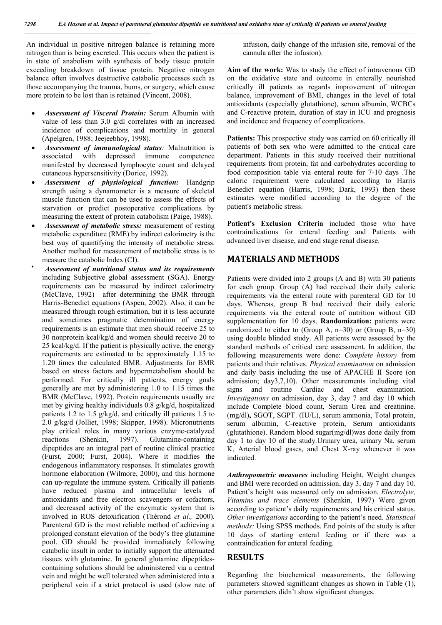An individual in positive nitrogen balance is retaining more nitrogen than is being excreted. This occurs when the patient is in state of anabolism with synthesis of body tissue protein exceeding breakdown of tissue protein. Negative nitrogen balance often involves destructive catabolic processes such as those accompanying the trauma, bums, or surgery, which cause more protein to be lost than is retained (Vincent, 2008).

- *Assessment of Visceral Protein:* Serum Albumin with value of less than 3.0 g/dl correlates with an increased incidence of complications and mortality in general (Apelgren, 1988; Jeejeebhoy, 1998).
- *Assessment of immunological status:* Malnutrition is associated with depressed immune competence manifested by decreased lymphocyte count and delayed cutaneous hypersensitivity (Dorice, 1992).
- *Assessment of physiological function:* Handgrip strength using a dynamometer is a measure of skeletal muscle function that can be used to assess the effects of starvation or predict postoperative complications by measuring the extent of protein catabolism (Paige, 1988).
- *Assessment of metabolic stress:* measurement of resting metabolic expenditure (RME) by indirect calorimetry is the best way of quantifying the intensity of metabolic stress. Another method for measurement of metabolic stress is to measure the catabolic Index (CI).
- *Assessment of nutritional status and its requirements*  including Subjective global assessment (SGA). Energy requirements can be measured by indirect calorimetry (McClave, 1992) after determining the BMR through Harris-Benedict equations (Aspen, 2002). Also, it can be measured through rough estimation, but it is less accurate and sometimes pragmatic determination of energy requirements is an estimate that men should receive 25 to 30 nonprotein kcal/kg/d and women should receive 20 to 25 kcal/kg/d. If the patient is physically active, the energy requirements are estimated to be approximately 1.15 to 1.20 times the calculated BMR. Adjustments for BMR based on stress factors and hypermetabolism should be performed. For critically ill patients, energy goals generally are met by administering 1.0 to 1.15 times the BMR (McClave, 1992). Protein requirements usually are met by giving healthy individuals 0.8 g/kg/d, hospitalized patients 1.2 to 1.5 g/kg/d, and critically ill patients 1.5 to 2.0 g/kg/d (Jolliet, 1998; Skipper, 1998). Micronutrients play critical roles in many various enzyme-catalyzed reactions (Shenkin, 1997). Glutamine-containing dipeptides are an integral part of routine clinical practice (Furst, 2000; Furst, 2004). Where it modifies the endogenous inflammatory responses. It stimulates growth hormone elaboration (Wilmore, 2000), and this hormone can up-regulate the immune system. Critically ill patients have reduced plasma and intracellular levels of antioxidants and free electron scavengers or cofactors, and decreased activity of the enzymatic system that is involved in ROS detoxification (Thérond *et al.,* 2000). Parenteral GD is the most reliable method of achieving a prolonged constant elevation of the body's free glutamine pool. GD should be provided immediately following catabolic insult in order to initially support the attenuated tissues with glutamine. In general glutamine dipeptidescontaining solutions should be administered via a central vein and might be well tolerated when administered into a peripheral vein if a strict protocol is used (slow rate of

infusion, daily change of the infusion site, removal of the cannula after the infusion).

**Aim of the work:** Was to study the effect of intravenous GD on the oxidative state and outcome in enterally nourished critically ill patients as regards improvement of nitrogen balance, improvement of BMI, changes in the level of total antioxidants (especially glutathione), serum albumin, WCBCs and C-reactive protein, duration of stay in ICU and prognosis and incidence and frequency of complications.

Patients: This prospective study was carried on 60 critically ill patients of both sex who were admitted to the critical care department. Patients in this study received their nutritional requirements from protein, fat and carbohydrates according to food composition table via enteral route for 7-10 days .The caloric requirement were calculated according to Harris Benedict equation (Harris, 1998; Dark, 1993) then these estimates were modified according to the degree of the patient's metabolic stress.

Patient's Exclusion Criteria included those who have contraindications for enteral feeding and Patients with advanced liver disease, and end stage renal disease.

## **MATERIALS AND METHODS**

Patients were divided into 2 groups (A and B) with 30 patients for each group. Group (A) had received their daily caloric requirements via the enteral route with parenteral GD for 10 days. Whereas, group B had received their daily caloric requirements via the enteral route of nutrition without GD supplementation for 10 days. **Randomization:** patients were randomized to either to (Group A,  $n=30$ ) or (Group B,  $n=30$ ) using double blinded study. All patients were assessed by the standard methods of critical care assessment. In addition, the following measurements were done: *Complete history* from patients and their relatives. *Physical examination* on admission and daily basis including the use of APACHE II Score (on admission; day3,7,10). Other measurements including vital signs and routine Cardiac and chest examination. *Investigations* on admission, day 3, day 7 and day 10 which include Complete blood count, Serum Urea and creatinine. (mg/dl)**,** SGOT, SGPT. (IU/L), serum ammonia, Total protein, serum albumin, C-reactive protein, Serum antioxidants (glutathione). Random blood sugar(mg/dl)was done daily from day 1 to day 10 of the study.Urinary urea, urinary Na, serum K, Arterial blood gases, and Chest X-ray whenever it was indicated.

*Anthropometric measures* including Height, Weight changes and BMI were recorded on admission, day 3, day 7 and day 10. Patient's height was measured only on admission. *Electrolyte, Vitamins and trace elements* (Shenkin, 1997) Were given according to patient's daily requirements and his critical status. *Other investigations* according to the patient's need. *Statistical methods:* Using SPSS methods. End points of the study is after 10 days of starting enteral feeding or if there was a contraindication for enteral feeding*.* 

### **RESULTS**

Regarding the biochemical measurements, the following parameters showed significant changes as shown in Table (1), other parameters didn't show significant changes.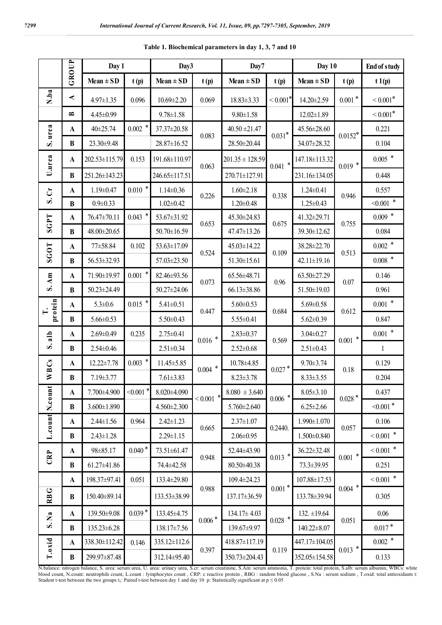|                           |              | Day 1             |                   | Day3              |                            | Day7                | Day 10                     |                   |                   | <b>End of study</b>        |
|---------------------------|--------------|-------------------|-------------------|-------------------|----------------------------|---------------------|----------------------------|-------------------|-------------------|----------------------------|
|                           | GROUP        | $Mean \pm SD$     | t(p)              | $Mean \pm SD$     | t(p)                       | $Mean \pm SD$       | t(p)                       | $Mean \pm SD$     | t(p)              | t1(p)                      |
| N.ba                      | ≺            | $4.97 \pm 1.35$   | 0.096             | $10.69 \pm 2.20$  | 0.069                      | $18.83 \pm 3.33$    | $\leq 0.001$ *             | 14.20±2.59        | $0.001$ $^{\ast}$ | $< 0.001^*$                |
|                           | $\mathbf{r}$ | 4.45±0.99         |                   | $9.78 \pm 1.58$   |                            | $9.80 \pm 1.58$     |                            | $12.02 \pm 1.89$  |                   | $< 0.001$ *                |
| S. urea                   | A            | 40±25.74          | $0.002$ $^{\ast}$ | 37.37±20.58       |                            | $40.50 \pm 21.47$   | $0.031*$                   | 45.56±28.60       | $0.0152^{\ast}$   | 0.221                      |
|                           | $\bf{B}$     | 23.30±9.48        |                   | 28.87±16.52       | 0.083                      | 28.50±20.44         |                            | 34.07±28.32       |                   | 0.104                      |
| U.urea                    | A            | 202.53±115.79     | 0.153             | 191.68±110.97     | 0.063                      | $201.35 \pm 128.59$ | $0.041$ *                  | 147.18±113.32     | $0.019$ *         | $0.005$ $\hspace{0.1cm}^*$ |
|                           | B            | 251.26±143.23     |                   | 246.65±117.51     |                            | 270.71±127.91       |                            | 231.16±134.05     |                   | 0.448                      |
| $\mathbf{C}$              | A            | $1.19 \pm 0.47$   | $0.010$ *         | $1.14 \pm 0.36$   | 0.226                      | $1.60 \pm 2.18$     | 0.338                      | $1.24 \pm 0.41$   | 0.946             | 0.557                      |
| $\dot{\mathbf{v}}$        | B            | $0.9 \pm 0.33$    |                   | $1.02 \pm 0.42$   |                            | $1.20 \pm 0.48$     |                            | $1.25 \pm 0.43$   |                   | $<0.001$ $^{\ast}$         |
| <b>SGPT</b>               | $\mathbf{A}$ | 76.47±70.11       | $0.043$ *         | 53.67±31.92       | 0.653                      | 45.30±24.83         | 0.675                      | 41.32±29.71       | 0.755             | $0.009$ *                  |
|                           | B            | 48.00±20.65       |                   | 50.70±16.59       |                            | 47.47±13.26         |                            | 39.30±12.62       |                   | 0.084                      |
| <b>SGOT</b>               | $\mathbf{A}$ | 77±58.84          | 0.102             | 53.63±17.09       | 0.524                      | 45.03±14.22         | 0.109                      | 38.28±22.70       | 0.513             | $0.002$ $\hspace{0.1cm}^*$ |
|                           | B            | 56.53±32.93       |                   | 57.03±23.50       |                            | $51.30 \pm 15.61$   |                            | $42.11 \pm 19.16$ |                   | $0.008$ $\hspace{0.1cm}^*$ |
| $S.$ Am                   | A            | 71.90±19.97       | $0.001$ $^{\ast}$ | 82.46±93.56       | 0.073                      | 65.56±48.71         | 0.96                       | 63.50±27.29       | 0.07              | 0.146                      |
|                           | $\bf{B}$     | 50.23±24.49       |                   | 50.27±24.06       |                            | 66.13±38.86         |                            | 51.50±19.03       |                   | 0.961                      |
| protein<br>≓              | $\mathbf A$  | $5.3 \pm 0.6$     | $0.015$ *         | $5.41 \pm 0.51$   | 0.447                      | $5.60 \pm 0.53$     | 0.684                      | $5.69 \pm 0.58$   | 0.612             | $0.001$ $^{\ast}$          |
|                           | B            | $5.66 \pm 0.53$   |                   | $5.50 \pm 0.43$   |                            | $5.55 \pm 0.41$     |                            | $5.62 \pm 0.39$   |                   | 0.847                      |
| alb<br>S                  | $\mathbf A$  | $2.69 \pm 0.49$   | 0.235             | $2.75 \pm 0.41$   | $0.016$ $^{\ast}$          | $2.83 \pm 0.37$     | 0.569                      | $3.04 \pm 0.27$   | $0.001$ $^{\ast}$ | $0.001$ $^{\ast}$          |
|                           | $\bf{B}$     | $2.54 \pm 0.46$   |                   | $2.51 \pm 0.34$   |                            | $2.52 \pm 0.68$     |                            | $2.51 \pm 0.43$   |                   | $\mathbf{1}$               |
| WBCs                      | A            | 12.22±7.78        | $0.003$ $^{\ast}$ | $11.45 \pm 5.85$  | $0.004$ $\hspace{0.1cm}^*$ | 10.78±4.85          | $0.027$ $^{\ast}$          | $9.70 \pm 3.74$   | 0.18              | 0.129                      |
|                           | B            | 7.19±3.77         |                   | $7.61 \pm 3.83$   |                            | $8.23 \pm 3.78$     |                            | $8.33 \pm 3.55$   |                   | 0.204                      |
| N.count                   | $\mathbf A$  | 7.700±4.900       | $< 0.001$ *       | 8.020±4.090       | $\ast$<br>< 0.001          | $8.080 \pm 3.640$   | $0.006$ $\hspace{0.1cm}^*$ | $8.05 \pm 3.10$   | $0.028*$          | 0.437                      |
|                           | B            | $3.600 \pm 1.890$ |                   | $4.560 \pm 2.300$ |                            | $5.760 \pm 2.640$   |                            | $6.25 \pm 2.66$   |                   | $<0.001$ $^{\ast}$         |
| L.count                   | A            | $2.44 \pm 1.56$   | 0.964             | $2.42 \pm 1.23$   | 0.665                      | $2.37 \pm 1.07$     | 0.2440.                    | 1.990±1.070       | 0.057             | 0.106                      |
|                           | B            | $2.43 \pm 1.28$   |                   | $2.29 \pm 1.15$   |                            | $2.06 \pm 0.95$     |                            | $1.500 \pm 0.840$ |                   | $< 0.001$ $^{\ast}$        |
| CRP                       | A            | 98±85.17          | $0.040*$          | 73.51±61.47       | 0.948                      | 52.44±43.90         | $0.013$ *                  | 36.22±32.48       | $0.001$ *         | $< 0.001$ $^{\ast}$        |
|                           | B            | $61.27 \pm 41.86$ |                   | 74.4±42.58        |                            | 80.50±40.38         |                            | 73.3±39.95        |                   | 0.251                      |
|                           | $\mathbf{A}$ | 198.37±97.41      | 0.051             | 133.4±29.80       | 0.988                      | 109.4±24.23         | $0.001$ *                  | 107.88±17.53      | $0.004$ $^{\ast}$ | $< 0.001$ $^{\ast}$        |
| <b>RBG</b>                | B            | 150.40±89.14      |                   | 133.53±38.99      |                            | 137.17±36.59        |                            | 133.78±39.94      |                   | 0.305                      |
| $\mathbb{R}^{\mathbf{a}}$ | $\mathbf{A}$ | 139.50±9.08       | $0.039*$          | 133.45±4.75       | $0.006$ $^{\ast}$          | $134.17 \pm 4.03$   | $0.028$ $\hspace{0.1cm}^*$ | $132. \pm 19.64$  | 0.051             | 0.06                       |
| $\dot{\mathbf{v}}$        | B            | 135.23±6.28       |                   | 138.17±7.56       |                            | 139.67±9.97         |                            | 140.22±8.07       |                   | $0.017*$                   |
|                           | $\mathbf{A}$ | 338.30±112.42     | 0.146             | 335.12±112.6      |                            | 418.87±117.19       | 0.119                      | 447.17±104.05     | $0.013$ *         | $0.002$ $\hspace{0.1cm}^*$ |
| T.oxid                    | B            | 299.97±87.48      |                   | 312.14±95.40      | 0.397                      | 350.73±204.43       |                            | 352.05±154.58     |                   | 0.133                      |

**Table 1. Biochemical parameters in day 1, 3, 7 and 10**

N.balance: nitrogen balance, S. urea: serum urea, U. urea: urinary urea, S.cr: serum creatinine, S.Am: serum ammonia, T. protein: total protein, S.alb: serum albumin, WBCs: white blood count, N.count: neutrophils count, L.count : lymphocytes count , CRP: c reactive protein , RBG : random blood glucose , S.Na : serum sodium , T.oxid: total antioxidants t: Student t-test between the two groups  $t_1$ : Paired t-test between day 1 and day 10 p: Statistically significant at  $p \le 0.05$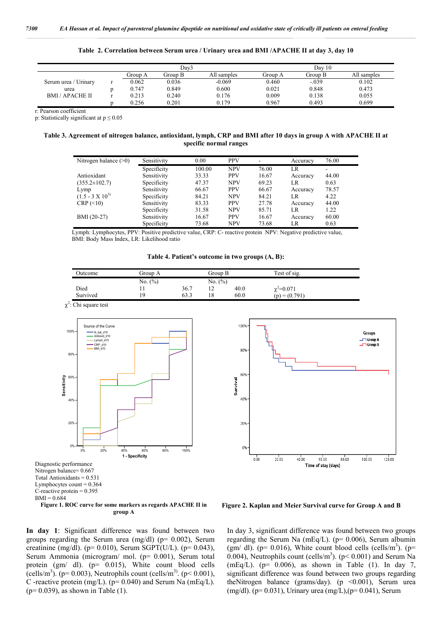|                      |         | Dav3    |             |         | Dav 10  |             |
|----------------------|---------|---------|-------------|---------|---------|-------------|
|                      | Group A | Group B | All samples | Group A | Group B | All samples |
| Serum urea / Urinary | 0.062   | 0.036   | $-0.069$    | 0.460   | $-.039$ | 0.102       |
| urea                 | 0.747   | 0.849   | 0.600       | 0.021   | 0.848   | 0.473       |
| <b>BMI/APACHE II</b> | 0.213   | 0.240   | 0.176       | 0.009   | 0.138   | 0.055       |
|                      | 0.256   | 0.201   | 0 1 7 9     | 0.967   | 0.493   | 0.699       |

**Table 2. Correlation between Serum urea / Urinary urea and BMI /APACHE II at day 3, day 10**

r: Pearson coefficient

p: Statistically significant at p ≤ 0.05

**Table 3. Agreement of nitrogen balance, antioxidant, lymph, CRP and BMI after 10 days in group A with APACHE II at specific normal ranges**

| Nitrogen balance $(>0)$   | Sensitivity | 0.00   | <b>PPV</b> | $\overline{\phantom{a}}$ | Accuracy | 76.00 |
|---------------------------|-------------|--------|------------|--------------------------|----------|-------|
|                           | Specificity | 100.00 | <b>NPV</b> | 76.00                    | LR       | ۰     |
| Antioxidant               | Sensitivity | 33.33  | <b>PPV</b> | 16.67                    | Accuracy | 44.00 |
| $(355.2 \pm 102.7)$       | Specificity | 47.37  | <b>NPV</b> | 69.23                    | LR       | 0.63  |
| Lymp                      | Sensitivity | 66.67  | <b>PPV</b> | 66.67                    | Accuracy | 78.57 |
| $(1.5 - 3 \times 10^{3})$ | Specificity | 84.21  | <b>NPV</b> | 84.21                    | LR       | 4.22  |
| CRP (<10)                 | Sensitivity | 83.33  | <b>PPV</b> | 27.78                    | Accuracy | 44.00 |
|                           | Specificity | 31.58  | <b>NPV</b> | 85.71                    | LR       | 1.22  |
| BMI (20-27)               | Sensitivity | 16.67  | <b>PPV</b> | 16.67                    | Accuracy | 60.00 |
|                           | Specificity | 73.68  | <b>NPV</b> | 73.68                    | LR       | 0.63  |

Lymph: Lymphocytes, PPV: Positive predictive value, CRP: C- reactive protein NPV: Negative predictive value, BMI: Body Mass Index, LR: Likelihood ratio

**Table 4. Patient's outcome in two groups (A, B):**

| Outcome  | Group A     | Group B |         | Test of sig. |                    |  |
|----------|-------------|---------|---------|--------------|--------------------|--|
|          | No. $(\% )$ |         | No. (%) |              |                    |  |
| Died     |             | 36.7    |         | 40.0         | $\gamma^2 = 0.071$ |  |
| Survived | 19          | 63.3    | 18      | 60.0         | $(p) = (0.791)$    |  |

 $\chi^2$ : Chi square test



Diagnostic performance Nitrogen balance= 0.667 Total Antioxidants  $= 0.531$ Lymphocytes count  $= 0.364$ C-reactive protein  $= 0.395$  $BMI = 0.684$ 

**Figure 1. ROC curve for some markers as regards APACHE II in group A**





**Figure 2. Kaplan and Meier Survival curve for Group A and B**

In day 3, significant difference was found between two groups regarding the Serum Na (mEq/L). (p= 0.006), Serum albumin (gm/ dl). ( $p= 0.016$ ), White count blood cells (cells/m<sup>3</sup>). ( $p=$ 0.004), Neutrophils count (cells/m<sup>3</sup>). ( $p$  < 0.001) and Serum Na (mEq/L). ( $p= 0.006$ ), as shown in Table (1). In day 7, significant difference was found between two groups regarding theNitrogen balance (grams/day). (p <0.001), Serum urea (mg/dl). (p= 0.031), Urinary urea (mg/L),(p= 0.041), Serum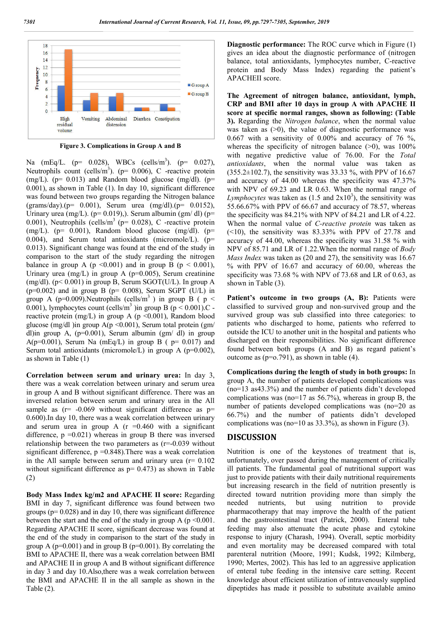

**Figure 3. Complications in Group A and B**

Na (mEq/L. (p= 0.028), WBCs (cells/m<sup>3</sup>). (p= 0.027), Neutrophils count (cells/m<sup>3</sup>). ( $p= 0.006$ ), C -reactive protein  $(mg/L)$ . (p= 0.013) and Random blood glucose (mg/dl). (p= 0.001), as shown in Table (1). In day 10, significant difference was found between two groups regarding the Nitrogen balance (grams/day).(p= 0.001), Serum urea (mg/dl).(p= 0.0152), Urinary urea (mg/L). ( $p= 0.019$ ),). Serum albumin (gm/dl) ( $p=$ 0.001), Neutrophils (cells/ $m<sup>3</sup>$  (p= 0.028), C -reactive protein (mg/L). ( $p= 0.001$ ), Random blood glucose (mg/dl). ( $p=$ 0.004), and Serum total antioxidants (micromole/L). ( $p=$ 0.013). Significant change was found at the end of the study in comparison to the start of the study regarding the nitrogen balance in group A ( $p \le 0.001$ ) and in group B ( $p \le 0.001$ ), Urinary urea (mg/L) in group A ( $p=0.005$ ), Serum creatinine (mg/dl). ( $p$ < 0.001) in group B, Serum SGOT(U/L). In group A  $(p=0.002)$  and in group B  $(p= 0.008)$ , Serum SGPT (U/L) in group A ( $p=0.009$ ). Neutrophils (cells/m<sup>3</sup>) in group B ( $p <$ 0.001), lymphocytes count (cells/m<sup>3</sup>) in group B ( $p < 0.001$ ).C reactive protein (mg/L) in group A ( $p \le 0.001$ ), Random blood glucose (mg/dl )in group  $A(p \le 0.001)$ , Serum total protein (gm/ dl)in group A,  $(p=0.001)$ , Serum albumin  $(gm/dl)$  in group A( $p=0.001$ ), Serum Na (mEq/L) in group B ( $p= 0.017$ ) and Serum total antioxidants (micromole/L) in group A ( $p=0.002$ ), as shown in Table (1)

**Correlation between serum and urinary urea:** In day 3, there was a weak correlation between urinary and serum urea in group A and B without significant difference. There was an inversed relation between serum and urinary urea in the All sample as  $(r= -0.069)$  without significant difference as  $p=$ 0.600).In day 10, there was a weak correlation between urinary and serum urea in group A  $(r = 0.460$  with a significant difference,  $p = 0.021$ ) whereas in group B there was inversed relationship between the two parameters as (r=-0.039 without significant difference,  $p = 0.848$ ). There was a weak correlation in the All sample between serum and urinary urea  $(r= 0.102)$ without significant difference as  $p= 0.473$ ) as shown in Table (2)

**Body Mass Index kg/m2 and APACHE II score:** Regarding BMI in day 7, significant difference was found between two groups ( $p= 0.028$ ) and in day 10, there was significant difference between the start and the end of the study in group A ( $p \le 0.001$ . Regarding APACHE II score, significant decrease was found at the end of the study in comparison to the start of the study in group A ( $p=0.001$ ) and in group B ( $p=0.001$ ). By correlating the BMI to APACHE II, there was a weak correlation between BMI and APACHE II in group A and B without significant difference in day 3 and day 10.Also,there was a weak correlation between the BMI and APACHE II in the all sample as shown in the Table (2).

**Diagnostic performance:** The ROC curve which in Figure (1) gives an idea about the diagnostic performance of (nitrogen balance, total antioxidants, lymphocytes number, C-reactive protein and Body Mass Index) regarding the patient's APACHEII score.

**The Agreement of nitrogen balance, antioxidant, lymph, CRP and BMI after 10 days in group A with APACHE II score at specific normal ranges, shown as following: (Table 3).** Regarding the *Nitrogen balance*, when the normal value was taken as  $(0)$ , the value of diagnostic performance was 0.667 with a sensitivity of 0.00% and accuracy of 76 %, whereas the specificity of nitrogen balance  $(>0)$ , was 100% with negative predictive value of 76.00. For the *Total antioxidants*, when the normal value was taken as  $(355.2\pm102.7)$ , the sensitivity was 33.33 %, with PPV of 16.67 and accuracy of 44.00 whereas the specificity was 47.37% with NPV of 69.23 and LR 0.63. When the normal range of Lymphocytes was taken as  $(1.5 \text{ and } 2x10^3)$ , the sensitivity was 55.66.67% with PPV of 66.67 and accuracy of 78.57, whereas the specificity was 84.21% with NPV of 84.21 and LR of 4.22. When the normal value of *C-reactive protein* was taken as  $(\leq 10)$ , the sensitivity was 83.33% with PPV of 27.78 and accuracy of 44.00, whereas the specificity was 31.58 % with NPV of 85.71 and LR of 1.22.When the normal range of *Body Mass Index* was taken as (20 and 27), the sensitivity was 16.67 % with PPV of 16.67 and accuracy of 60.00, whereas the specificity was 73.68 % with NPV of 73.68 and LR of 0.63, as shown in Table (3).

Patient's outcome in two groups (A, B): Patients were classified to survived group and non-survived group and the survived group was sub classified into three categories: to patients who discharged to home, patients who referred to outside the ICU to another unit in the hospital and patients who discharged on their responsibilities. No significant difference found between both groups (A and B) as regard patient's outcome as (p=o.791), as shown in table (4).

**Complications during the length of study in both groups:** In group A, the number of patients developed complications was (no=13 as43.3%) and the number of patients didn't developed complications was (no=17 as 56.7%), whereas in group B, the number of patients developed complications was (no=20 as 66.7%) and the number of patients didn't developed complications was (no=10 as 33.3%), as shown in Figure (3).

### **DISCUSSION**

Nutrition is one of the keystones of treatment that is, unfortunately, over passed during the management of critically ill patients. The fundamental goal of nutritional support was just to provide patients with their daily nutritional requirements but increasing research in the field of nutrition presently is directed toward nutrition providing more than simply the needed nutrients, but using nutrition to provide pharmacotherapy that may improve the health of the patient and the gastrointestinal tract (Patrick, 2000). Enteral tube feeding may also attenuate the acute phase and cytokine response to injury (Charash, 1994). Overall, septic morbidity and even mortality may be decreased compared with total parenteral nutrition (Moore, 1991; Kudsk, 1992; Kilmberg, 1990; Mertes, 2002). This has led to an aggressive application of enteral tube feeding in the intensive care setting. Recent knowledge about efficient utilization of intravenously supplied dipeptides has made it possible to substitute available amino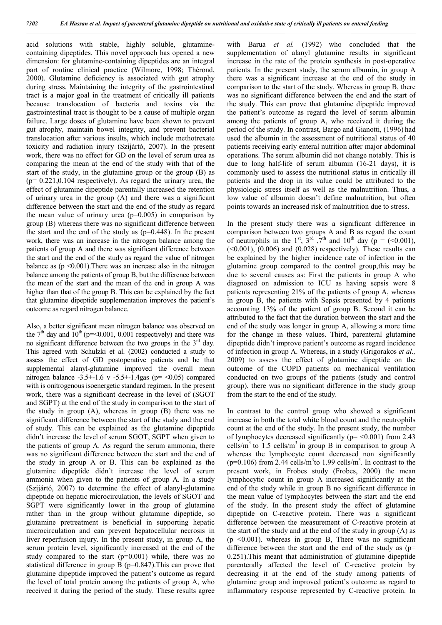acid solutions with stable, highly soluble, glutaminecontaining dipeptides. This novel approach has opened a new dimension: for glutamine-containing dipeptides are an integral part of routine clinical practice (Wilmore, 1998; Thérond, 2000). Glutamine deficiency is associated with gut atrophy during stress. Maintaining the integrity of the gastrointestinal tract is a major goal in the treatment of critically ill patients because translocation of bacteria and toxins via the gastrointestinal tract is thought to be a cause of multiple organ failure. Large doses of glutamine have been shown to prevent gut atrophy, maintain bowel integrity, and prevent bacterial translocation after various insults, which include methotrexate toxicity and radiation injury (Szijártó, 2007). In the present work, there was no effect for GD on the level of serum urea as comparing the mean at the end of the study with that of the start of the study, in the glutamine group or the group (B) as  $(p= 0.221, 0.104$  respectively). As regard the urinary urea, the effect of glutamine dipeptide parentally increased the retention of urinary urea in the group (A) and there was a significant difference between the start and the end of the study as regard the mean value of urinary urea  $(p=0.005)$  in comparison by group (B) whereas there was no significant difference between the start and the end of the study as  $(p=0.448)$ . In the present work, there was an increase in the nitrogen balance among the patients of group A and there was significant difference between the start and the end of the study as regard the value of nitrogen balance as  $(p \le 0.001)$ . There was an increase also in the nitrogen balance among the patients of group B, but the difference between the mean of the start and the mean of the end in group A was higher than that of the group B. This can be explained by the fact that glutamine dipeptide supplementation improves the patient's outcome as regard nitrogen balance.

Also, a better significant mean nitrogen balance was observed on the  $7<sup>th</sup>$  day and  $10<sup>th</sup>$  (p=<0.001, 0.001 respectively) and there was no significant difference between the two groups in the  $3<sup>rd</sup>$  day. This agreed with Schulzki et al. (2002) conducted a study to assess the effect of GD postoperative patients and he that supplemental alanyl-glutamine improved the overall mean nitrogen balance  $-3.5\pm1.6$  v  $-5.5\pm1.4$ gas (p= <0.05) compared with is onitrogenous isoenergetic standard regimen. In the present work, there was a significant decrease in the level of (SGOT and SGPT) at the end of the study in comparison to the start of the study in group (A), whereas in group (B) there was no significant difference between the start of the study and the end of study. This can be explained as the glutamine dipeptide didn't increase the level of serum SGOT, SGPT when given to the patients of group A. As regard the serum ammonia, there was no significant difference between the start and the end of the study in group A or B. This can be explained as the glutamine dipeptide didn't increase the level of serum ammonia when given to the patients of group A. In a study (Szijártó, 2007) to determine the effect of alanyl-glutamine dipeptide on hepatic microcirculation, the levels of SGOT and SGPT were significantly lower in the group of glutamine rather than in the group without glutamine dipeptide, so glutamine pretreatment is beneficial in supporting hepatic microcirculation and can prevent hepatocellular necrosis in liver reperfusion injury. In the present study, in group A, the serum protein level, significantly increased at the end of the study compared to the start  $(p=0.001)$  while, there was no statistical difference in group B (p=0.847).This can prove that glutamine dipeptide improved the patient's outcome as regard the level of total protein among the patients of group A, who received it during the period of the study. These results agree

with Barua *et al.* (1992) who concluded that the supplementation of alanyl glutamine results in significant increase in the rate of the protein synthesis in post-operative patients. In the present study, the serum albumin, in group A there was a significant increase at the end of the study in comparison to the start of the study. Whereas in group B, there was no significant difference between the end and the start of the study. This can prove that glutamine dipeptide improved the patient's outcome as regard the level of serum albumin among the patients of group A, who received it during the period of the study. In contrast, Bargo and Gianotti, (1996) had used the albumin in the assessment of nutritional status of 40 patients receiving early enteral nutrition after major abdominal operations. The serum albumin did not change notably. This is due to long half-life of serum albumin (16-21 days), it is commonly used to assess the nutritional status in critically ill patients and the drop in its value could be attributed to the physiologic stress itself as well as the malnutrition. Thus, a low value of albumin doesn't define malnutrition, but often points towards an increased risk of malnutrition due to stress.

In the present study there was a significant difference in comparison between two groups A and B as regard the count of neutrophils in the 1<sup>st</sup>,  $3^{rd}$ ,  $7^{th}$  and  $10^{th}$  day (p = (<0.001),  $(0.001)$ ,  $(0.006)$  and  $(0.028)$  respectively). These results can be explained by the higher incidence rate of infection in the glutamine group compared to the control group,this may be due to several causes as: First the patients in group A who diagnosed on admission to ICU as having sepsis were 8 patients representing 21% of the patients of group A, whereas in group B, the patients with Sepsis presented by 4 patients accounting 13% of the patient of group B. Second it can be attributed to the fact that the duration between the start and the end of the study was longer in group A, allowing a more time for the change in these values. Third, parenteral glutamine dipeptide didn't improve patient's outcome as regard incidence of infection in group A. Whereas, in a study (Grigorakos *et al.,*  2009) to assess the effect of glutamine dipeptide on the outcome of the COPD patients on mechanical ventilation conducted on two groups of the patients (study and control group), there was no significant difference in the study group from the start to the end of the study.

In contrast to the control group who showed a significant increase in both the total white blood count and the neutrophils count at the end of the study. In the present study, the number of lymphocytes decreased significantly ( $p = \le 0.001$ ) from 2.43 cells/m<sup>3</sup> to 1.5 cells/m<sup>3</sup> in group B in comparison to group A whereas the lymphocyte count decreased non significantly  $(p=0.106)$  from 2.44 cells/m<sup>3</sup>to 1.99 cells/m<sup>3</sup>. In contrast to the present work, in Frobes study (Frobes, 2000) the mean lymphocytic count in group A increased significantly at the end of the study while in group B no significant difference in the mean value of lymphocytes between the start and the end of the study. In the present study the effect of glutamine dipeptide on C-reactive protein. There was a significant difference between the measurement of C-reactive protein at the start of the study and at the end of the study in group (A) as  $(p \le 0.001)$ . whereas in group B, There was no significant difference between the start and the end of the study as (p= 0.251).This meant that administration of glutamine dipeptide parenterally affected the level of C-reactive protein by decreasing it at the end of the study among patients of glutamine group and improved patient's outcome as regard to inflammatory response represented by C-reactive protein. In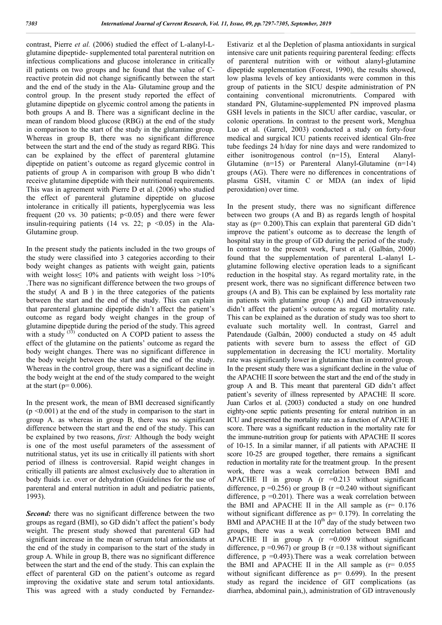contrast, Pierre *et al.* (2006) studied the effect of L-alanyl-Lglutamine dipeptide- supplemented total parenteral nutrition on infectious complications and glucose intolerance in critically ill patients on two groups and he found that the value of Creactive protein did not change significantly between the start and the end of the study in the Ala- Glutamine group and the control group. In the present study reported the effect of glutamine dipeptide on glycemic control among the patients in both groups A and B. There was a significant decline in the mean of random blood glucose (RBG) at the end of the study in comparison to the start of the study in the glutamine group. Whereas in group B, there was no significant difference between the start and the end of the study as regard RBG. This can be explained by the effect of parenteral glutamine dipeptide on patient's outcome as regard glycemic control in patients of group A in comparison with group B who didn't receive glutamine dipeptide with their nutritional requirements. This was in agreement with Pierre D et al. (2006) who studied the effect of parenteral glutamine dipeptide on glucose intolerance in critically ill patients, hyperglycemia was less frequent (20 vs. 30 patients;  $p<0.05$ ) and there were fewer insulin-requiring patients (14 vs. 22;  $p \le 0.05$ ) in the Ala-Glutamine group.

In the present study the patients included in the two groups of the study were classified into 3 categories according to their body weight changes as patients with weight gain, patients with weight loss  $10\%$  and patients with weight loss  $>10\%$ .There was no significant difference between the two groups of the study( A and B ) in the three categories of the patients between the start and the end of the study. This can explain that parenteral glutamine dipeptide didn't affect the patient's outcome as regard body weight changes in the group of glutamine dipeptide during the period of the study. This agreed with a study  $(33)$  conducted on A COPD patient to assess the effect of the glutamine on the patients' outcome as regard the body weight changes. There was no significant difference in the body weight between the start and the end of the study. Whereas in the control group, there was a significant decline in the body weight at the end of the study compared to the weight at the start ( $p= 0.006$ ).

In the present work, the mean of BMI decreased significantly  $(p \le 0.001)$  at the end of the study in comparison to the start in group A. as whereas in group B, there was no significant difference between the start and the end of the study. This can be explained by two reasons, *first:* Although the body weight is one of the most useful parameters of the assessment of nutritional status, yet its use in critically ill patients with short period of illness is controversial. Rapid weight changes in critically ill patients are almost exclusively due to alteration in body fluids i.e. over or dehydration (Guidelines for the use of parenteral and enteral nutrition in adult and pediatric patients, 1993).

*Second:* there was no significant difference between the two groups as regard (BMI), so GD didn't affect the patient's body weight. The present study showed that parenteral GD had significant increase in the mean of serum total antioxidants at the end of the study in comparison to the start of the study in group A. While in group B, there was no significant difference between the start and the end of the study. This can explain the effect of parenteral GD on the patient's outcome as regard improving the oxidative state and serum total antioxidants. This was agreed with a study conducted by FernandezEstivariz et al the Depletion of plasma antioxidants in surgical intensive care unit patients requiring parenteral feeding: effects of parenteral nutrition with or without alanyl-glutamine dipeptide supplementation (Forest, 1990), the results showed, low plasma levels of key antioxidants were common in this group of patients in the SICU despite administration of PN containing conventional micronutrients. Compared with standard PN, Glutamine-supplemented PN improved plasma GSH levels in patients in the SICU after cardiac, vascular, or colonic operations. In contrast to the present work, Menghua Luo et al. (Garrel, 2003) conducted a study on forty-four medical and surgical ICU patients received identical Gln-free tube feedings 24 h/day for nine days and were randomized to either isonitrogenous control (n=15), Enteral Alanyl-Glutamine (n=15) or Parenteral Alanyl-Glutamine (n=14) groups (AG). There were no differences in concentrations of plasma GSH, vitamin C or MDA (an index of lipid peroxidation) over time.

In the present study, there was no significant difference between two groups (A and B) as regards length of hospital stay as (p= 0.200).This can explain that parenteral GD didn't improve the patient's outcome as to decrease the length of hospital stay in the group of GD during the period of the study. In contrast to the present work, Furst et al. (Galbán, 2000) found that the supplementation of parenteral L-alanyl Lglutamine following elective operation leads to a significant reduction in the hospital stay. As regard mortality rate, in the present work, there was no significant difference between two groups (A and B). This can be explained by less mortality rate in patients with glutamine group (A) and GD intravenously didn't affect the patient's outcome as regard mortality rate. This can be explained as the duration of study was too short to evaluate such mortality well. In contrast, Garrel and Patendaude (Galbán, 2000) conducted a study on 45 adult patients with severe burn to assess the effect of GD supplementation in decreasing the ICU mortality. Mortality rate was significantly lower in glutamine than in control group. In the present study there was a significant decline in the value of the APACHE II score between the start and the end of the study in group A and B. This meant that parenteral GD didn't affect patient's severity of illness represented by APACHE II score. Juan Carlos et al. (2003) conducted a study on one hundred eighty-one septic patients presenting for enteral nutrition in an ICU and presented the mortality rate as a function of APACHE II score. There was a significant reduction in the mortality rate for the immune-nutrition group for patients with APACHE II scores of 10-15. In a similar manner, if all patients with APACHE II score 10-25 are grouped together, there remains a significant reduction in mortality rate for the treatment group. In the present work, there was a weak correlation between BMI and APACHE II in group A  $(r = 0.213$  without significant difference,  $p = 0.256$ ) or group B ( $r = 0.240$  without significant difference,  $p = 0.201$ ). There was a weak correlation between the BMI and APACHE II in the All sample as  $(r= 0.176$ without significant difference as  $p= 0.179$ ). In correlating the BMI and APACHE II at the  $10<sup>th</sup>$  day of the study between two groups, there was a weak correlation between BMI and APACHE II in group A  $(r = 0.009)$  without significant difference,  $p = 0.967$ ) or group B ( $r = 0.138$  without significant difference,  $p = 0.493$ ). There was a weak correlation between the BMI and APACHE II in the All sample as  $(r= 0.055$ without significant difference as  $p= 0.699$ ). In the present study as regard the incidence of GIT complications (as diarrhea, abdominal pain,), administration of GD intravenously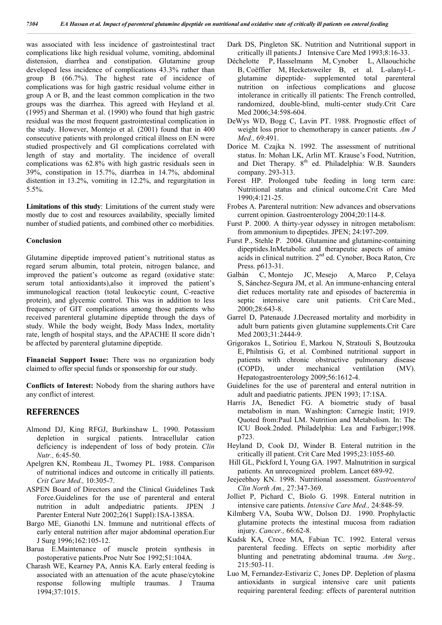was associated with less incidence of gastrointestinal tract complications like high residual volume, vomiting, abdominal distension, diarrhea and constipation. Glutamine group developed less incidence of complications 43.3% rather than group B (66.7%). The highest rate of incidence of complications was for high gastric residual volume either in group A or B, and the least common complication in the two groups was the diarrhea. This agreed with Heyland et al. (1995) and Sherman et al. (1990) who found that high gastric residual was the most frequent gastrointestinal complication in the study. However, Montejo et al. (2001) found that in 400 consecutive patients with prolonged critical illness on EN were studied prospectively and GI complications correlated with length of stay and mortality. The incidence of overall complications was 62.8% with high gastric residuals seen in 39%, constipation in 15.7%, diarrhea in 14.7%, abdominal distention in 13.2%, vomiting in 12.2%, and regurgitation in 5.5%.

**Limitations of this study**: Limitations of the current study were mostly due to cost and resources availability, specially limited number of studied patients, and combined other co morbidities.

#### **Conclusion**

Glutamine dipeptide improved patient's nutritional status as regard serum albumin, total protein, nitrogen balance, and improved the patient's outcome as regard (oxidative state: serum total antioxidants),also it improved the patient's immunological reaction (total leukocytic count, C-reactive protein), and glycemic control. This was in addition to less frequency of GIT complications among those patients who received parenteral glutamine dipeptide through the days of study. While the body weight, Body Mass Index, mortality rate, length of hospital stays, and the APACHE II score didn't be affected by parenteral glutamine dipeptide.

**Financial Support Issue:** There was no organization body claimed to offer special funds or sponsorship for our study.

**Conflicts of Interest:** Nobody from the sharing authors have any conflict of interest.

#### **REFERENCES**

- Almond DJ, King RFGJ, Burkinshaw L. 1990. Potassium depletion in surgical patients. Intracellular cation deficiency is independent of loss of body protein. *Clin Nutr.,* 6:45-50.
- Apelgren KN, Rombeau JL, Twomey PL. 1988. Comparison of nutritional indices and outcome in critically ill patients. *Crit Care Med.,* 10:305-7.
- ASPEN Board of Directors and the Clinical Guidelines Task Force.Guidelines for the use of parenteral and enteral nutrition in adult andpediatric patients. JPEN J Parenter Enteral Nutr 2002;26(1 Suppl):1SA-138SA.
- Bargo ME, Gianothi LN. Immune and nutritional effects of early enteral nutrition after major abdominal operation.Eur J Surg 1996;162:105-12.
- Barua E.Maintenance of muscle protein synthesis in postoperative patients.Proc Nutr Soc 1992;51:104A.
- Charash WE, Kearney PA, Annis KA. Early enteral feeding is associated with an attenuation of the acute phase/cytokine response following multiple traumas. J Trauma 1994;37:1015.
- Dark DS, Pingleton SK. Nutrition and Nutritional support in critically ill patients.J Intensive Care Med 1993;8:16-33.
- Déchelotte P, Hasselmann M, Cynober L, Allaouchiche B, Coëffier M, Hecketsweiler B, et al. L-alanyl-Lglutamine dipeptide- supplemented total parenteral nutrition on infectious complications and glucose intolerance in critically ill patients: The French controlled, randomized, double-blind, multi-center study.Crit Care Med 2006;34:598-604.
- DeWys WD, Bogg C, Lavin PT. 1988. Prognostic effect of weight loss prior to chemotherapy in cancer patients. *Am J Med.,* 69:491.
- Dorice M. Czajka N. 1992. The assessment of nutritional status. In: Mohan LK, Arlin MT. Krause's Food, Nutrition, and Diet Therapy. 8<sup>th</sup> ed. Philadelphia: W.B. Saunders company. 293-313.
- Forest HP. Prolonged tube feeding in long term care: Nutritional status and clinical outcome.Crit Care Med 1990;4:121-25.
- Frobes A. Parenteral nutrition: New advances and observations current opinion. Gastroenterology 2004;20:114-8.
- Furst P. 2000. A thirty-year odyssey in nitrogen metabolism: from ammonium to dipeptides. JPEN; 24:197-209.
- Furst P., Stehle P. 2004. Glutamine and glutamine-containing dipeptides.InMetabolic and therapeutic aspects of amino acids in clinical nutrition. 2nd ed. Cynober, Boca Raton, Crc Press. p613-31.
- Galbán C, Montejo JC, Mesejo A, Marco P, Celaya S, Sánchez-Segura JM, et al. An immune-enhancing enteral diet reduces mortality rate and episodes of bacteremia in septic intensive care unit patients. Crit Care Med., 2000;28:643-8.
- Garrel D, Patenaude J.Decreased mortality and morbidity in adult burn patients given glutamine supplements.Crit Care Med 2003;31:2444-9.
- Grigorakos L, Sotiriou E, Markou N, Stratouli S, Boutzouka E, Philntisis G, et al. Combined nutritional support in patients with chronic obstructive pulmonary disease (COPD), under mechanical ventilation (MV). Hepatogastroenterology 2009;56:1612-4.
- Guidelines for the use of parenteral and enteral nutrition in adult and paediatric patients. JPEN 1993; 17:1SA.
- Harris JA, Benedict FG. A biometric study of basal metabolism in man. Washington: Carnegie Instit; 1919. Quoted from:Paul LM. Nutrition and Metabolism. In: The ICU Book.2nded. Philadelphia: Lea and Farbiger;1998. p723.
- Heyland D, Cook DJ, Winder B. Enteral nutrition in the critically ill patient. Crit Care Med 1995;23:1055-60.
- Hill GL, Pickford I, Young GA. 1997. Malnutrition in surgical patients. An unrecognized problem. Lancet 689-92.
- Jeejeebhoy KN. 1998. Nutritional assessment. *Gastroenterol Clin North Am.,* 27:347-369.
- Jolliet P, Pichard C, Biolo G. 1998. Enteral nutrition in intensive care patients. *Intensive Care Med.,* 24:848-59.
- Kilmberg VA, Souba WW, Dolson DJ. 1990. Prophylactic glutamine protects the intestinal mucosa from radiation injury. *Cancer.,* 66:62-8.
- Kudsk KA, Croce MA, Fabian TC. 1992. Enteral versus parenteral feeding. Effects on septic morbidity after blunting and penetrating abdominal trauma. *Am Surg.,*  215:503-11.
- Luo M, Fernandez-Estivariz C, Jones DP. Depletion of plasma antioxidants in surgical intensive care unit patients requiring parenteral feeding: effects of parenteral nutrition